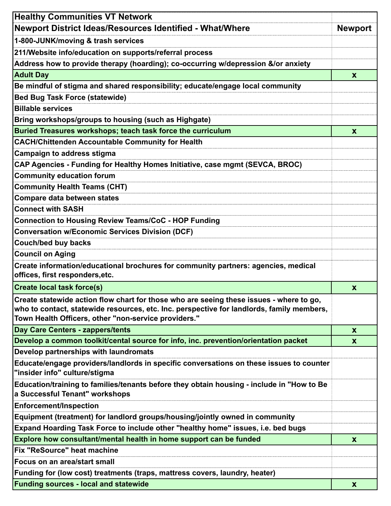| <b>Healthy Communities VT Network</b>                                                                                                                                                                                                        |                           |
|----------------------------------------------------------------------------------------------------------------------------------------------------------------------------------------------------------------------------------------------|---------------------------|
| Newport District Ideas/Resources Identified - What/Where                                                                                                                                                                                     | <b>Newport</b>            |
| 1-800-JUNK/moving & trash services                                                                                                                                                                                                           |                           |
| 211/Website info/education on supports/referral process                                                                                                                                                                                      |                           |
| Address how to provide therapy (hoarding); co-occurring w/depression &/or anxiety                                                                                                                                                            |                           |
| <b>Adult Day</b>                                                                                                                                                                                                                             | $\mathbf{x}$              |
| Be mindful of stigma and shared responsibility; educate/engage local community                                                                                                                                                               |                           |
| <b>Bed Bug Task Force (statewide)</b>                                                                                                                                                                                                        |                           |
| <b>Billable services</b>                                                                                                                                                                                                                     |                           |
| Bring workshops/groups to housing (such as Highgate)                                                                                                                                                                                         |                           |
| Buried Treasures workshops; teach task force the curriculum                                                                                                                                                                                  | $\mathbf x$               |
| <b>CACH/Chittenden Accountable Community for Health</b>                                                                                                                                                                                      |                           |
| <b>Campaign to address stigma</b>                                                                                                                                                                                                            |                           |
| CAP Agencies - Funding for Healthy Homes Initiative, case mgmt (SEVCA, BROC)                                                                                                                                                                 |                           |
| <b>Community education forum</b>                                                                                                                                                                                                             |                           |
| <b>Community Health Teams (CHT)</b>                                                                                                                                                                                                          |                           |
| <b>Compare data between states</b>                                                                                                                                                                                                           |                           |
| <b>Connect with SASH</b>                                                                                                                                                                                                                     |                           |
| <b>Connection to Housing Review Teams/CoC - HOP Funding</b>                                                                                                                                                                                  |                           |
| <b>Conversation w/Economic Services Division (DCF)</b>                                                                                                                                                                                       |                           |
| <b>Couch/bed buy backs</b>                                                                                                                                                                                                                   |                           |
| <b>Council on Aging</b>                                                                                                                                                                                                                      |                           |
| Create information/educational brochures for community partners: agencies, medical                                                                                                                                                           |                           |
| offices, first responders, etc.                                                                                                                                                                                                              |                           |
| <b>Create local task force(s)</b>                                                                                                                                                                                                            | $\mathbf x$               |
| Create statewide action flow chart for those who are seeing these issues - where to go,<br>who to contact, statewide resources, etc. Inc. perspective for landlords, family members,<br>Town Health Officers, other "non-service providers." |                           |
| Day Care Centers - zappers/tents                                                                                                                                                                                                             | $\mathbf x$               |
| Develop a common toolkit/cental source for info, inc. prevention/orientation packet                                                                                                                                                          | $\boldsymbol{\mathsf{x}}$ |
| Develop partnerships with laundromats                                                                                                                                                                                                        |                           |
| Educate/engage providers/landlords in specific conversations on these issues to counter<br>"insider info" culture/stigma                                                                                                                     |                           |
| Education/training to families/tenants before they obtain housing - include in "How to Be<br>a Successful Tenant" workshops                                                                                                                  |                           |
| <b>Enforcement/Inspection</b>                                                                                                                                                                                                                |                           |
| Equipment (treatment) for landlord groups/housing/jointly owned in community                                                                                                                                                                 |                           |
| Expand Hoarding Task Force to include other "healthy home" issues, i.e. bed bugs                                                                                                                                                             |                           |
| Explore how consultant/mental health in home support can be funded                                                                                                                                                                           | X                         |
| Fix "ReSource" heat machine                                                                                                                                                                                                                  |                           |
| <b>Focus on an area/start small</b>                                                                                                                                                                                                          |                           |
| Funding for (low cost) treatments (traps, mattress covers, laundry, heater)                                                                                                                                                                  |                           |
| <b>Funding sources - local and statewide</b>                                                                                                                                                                                                 | X                         |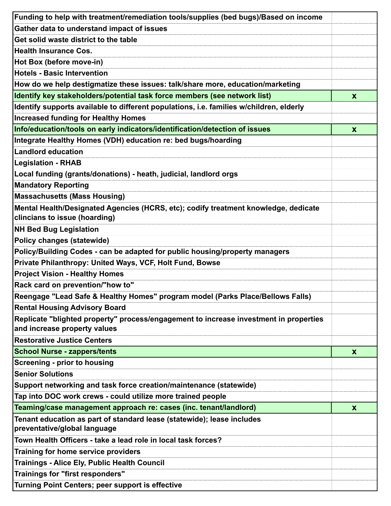| Funding to help with treatment/remediation tools/supplies (bed bugs)/Based on income                                  |                  |
|-----------------------------------------------------------------------------------------------------------------------|------------------|
| Gather data to understand impact of issues                                                                            |                  |
| Get solid waste district to the table                                                                                 |                  |
| <b>Health Insurance Cos.</b>                                                                                          |                  |
| Hot Box (before move-in)                                                                                              |                  |
| <b>Hotels - Basic Intervention</b>                                                                                    |                  |
| How do we help destigmatize these issues: talk/share more, education/marketing                                        |                  |
| Identify key stakeholders/potential task force members (see network list)                                             | X                |
| Identify supports available to different populations, i.e. families w/children, elderly                               |                  |
| <b>Increased funding for Healthy Homes</b>                                                                            |                  |
| Info/education/tools on early indicators/identification/detection of issues                                           | $\mathbf{x}$     |
| Integrate Healthy Homes (VDH) education re: bed bugs/hoarding                                                         |                  |
| <b>Landlord education</b>                                                                                             |                  |
| <b>Legislation - RHAB</b>                                                                                             |                  |
| Local funding (grants/donations) - heath, judicial, landlord orgs                                                     |                  |
| <b>Mandatory Reporting</b>                                                                                            |                  |
| Massachusetts (Mass Housing)                                                                                          |                  |
| Mental Health/Designated Agencies (HCRS, etc); codify treatment knowledge, dedicate<br>clincians to issue (hoarding)  |                  |
| <b>NH Bed Bug Legislation</b>                                                                                         |                  |
| Policy changes (statewide)                                                                                            |                  |
| Policy/Building Codes - can be adapted for public housing/property managers                                           |                  |
| Private Philanthropy: United Ways, VCF, Holt Fund, Bowse                                                              |                  |
| <b>Project Vision - Healthy Homes</b>                                                                                 |                  |
| Rack card on prevention/"how to"                                                                                      |                  |
| Reengage "Lead Safe & Healthy Homes" program model (Parks Place/Bellows Falls)                                        |                  |
| <b>Rental Housing Advisory Board</b>                                                                                  |                  |
| Replicate "blighted property" process/engagement to increase investment in properties<br>and increase property values |                  |
| <b>Restorative Justice Centers</b>                                                                                    |                  |
| <b>School Nurse - zappers/tents</b>                                                                                   | $\boldsymbol{x}$ |
| <b>Screening - prior to housing</b>                                                                                   |                  |
| <b>Senior Solutions</b>                                                                                               |                  |
| Support networking and task force creation/maintenance (statewide)                                                    |                  |
| Tap into DOC work crews - could utilize more trained people                                                           |                  |
| Teaming/case management approach re: cases (inc. tenant/landlord)                                                     | X                |
| Tenant education as part of standard lease (statewide); lease includes<br>preventative/global language                |                  |
| Town Health Officers - take a lead role in local task forces?                                                         |                  |
| Training for home service providers                                                                                   |                  |
| Trainings - Alice Ely, Public Health Council                                                                          |                  |
| <b>Trainings for "first responders"</b>                                                                               |                  |
| Turning Point Centers; peer support is effective                                                                      |                  |